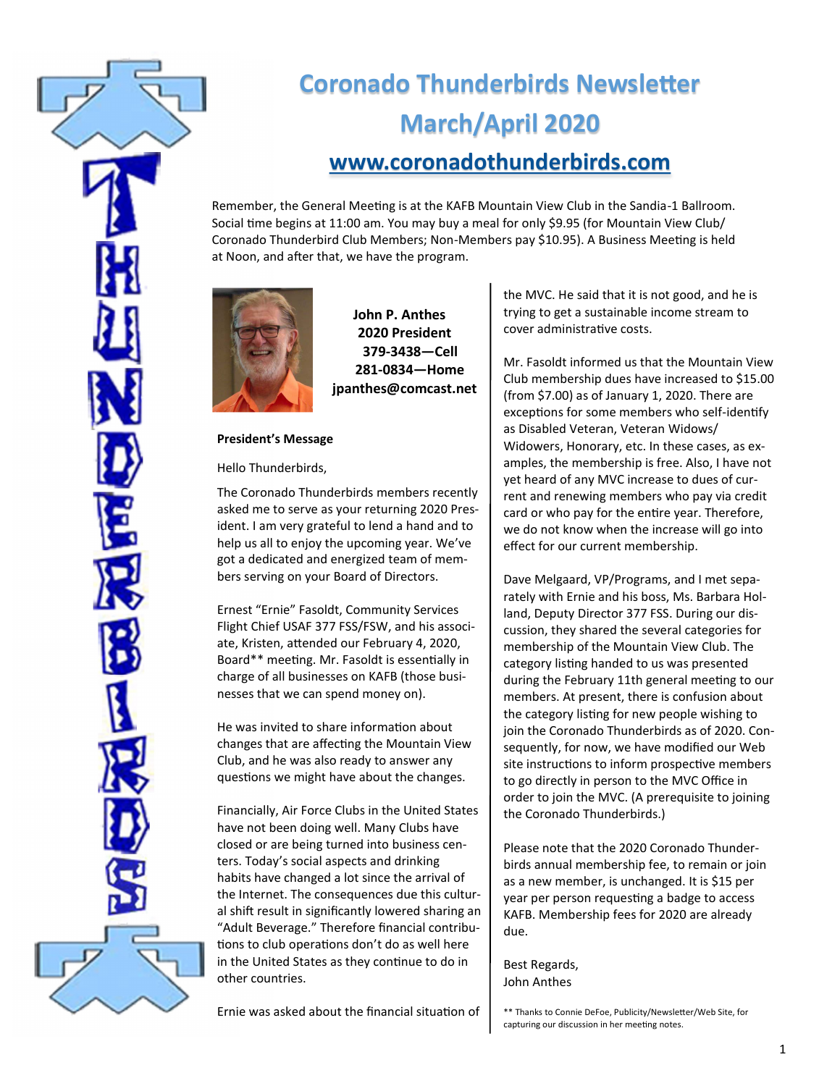

# **Coronado Thunderbirds Newsletter March/April 2020 [www.coronadothunderbirds.com](http://www.coronadothunderbirds.com)**

Remember, the General Meeting is at the KAFB Mountain View Club in the Sandia-1 Ballroom. Social time begins at 11:00 am. You may buy a meal for only \$9.95 (for Mountain View Club/ Coronado Thunderbird Club Members; Non-Members pay \$10.95). A Business Meeting is held at Noon, and after that, we have the program.



**John P. Anthes 2020 President 379-3438—Cell 281-0834—Home jpanthes@comcast.net**

## **President's Message**

Hello Thunderbirds,

The Coronado Thunderbirds members recently asked me to serve as your returning 2020 President. I am very grateful to lend a hand and to help us all to enjoy the upcoming year. We've got a dedicated and energized team of members serving on your Board of Directors.

Ernest "Ernie" Fasoldt, Community Services Flight Chief USAF 377 FSS/FSW, and his associate, Kristen, attended our February 4, 2020, Board\*\* meeting. Mr. Fasoldt is essentially in charge of all businesses on KAFB (those businesses that we can spend money on).

He was invited to share information about changes that are affecting the Mountain View Club, and he was also ready to answer any questions we might have about the changes.

Financially, Air Force Clubs in the United States have not been doing well. Many Clubs have closed or are being turned into business centers. Today's social aspects and drinking habits have changed a lot since the arrival of the Internet. The consequences due this cultural shift result in significantly lowered sharing an "Adult Beverage." Therefore financial contributions to club operations don't do as well here in the United States as they continue to do in other countries.

Ernie was asked about the financial situation of

the MVC. He said that it is not good, and he is trying to get a sustainable income stream to cover administrative costs.

Mr. Fasoldt informed us that the Mountain View Club membership dues have increased to \$15.00 (from \$7.00) as of January 1, 2020. There are exceptions for some members who self-identify as Disabled Veteran, Veteran Widows/ Widowers, Honorary, etc. In these cases, as examples, the membership is free. Also, I have not yet heard of any MVC increase to dues of current and renewing members who pay via credit card or who pay for the entire year. Therefore, we do not know when the increase will go into effect for our current membership.

Dave Melgaard, VP/Programs, and I met separately with Ernie and his boss, Ms. Barbara Holland, Deputy Director 377 FSS. During our discussion, they shared the several categories for membership of the Mountain View Club. The category listing handed to us was presented during the February 11th general meeting to our members. At present, there is confusion about the category listing for new people wishing to join the Coronado Thunderbirds as of 2020. Consequently, for now, we have modified our Web site instructions to inform prospective members to go directly in person to the MVC Office in order to join the MVC. (A prerequisite to joining the Coronado Thunderbirds.)

Please note that the 2020 Coronado Thunderbirds annual membership fee, to remain or join as a new member, is unchanged. It is \$15 per year per person requesting a badge to access KAFB. Membership fees for 2020 are already due.

Best Regards, John Anthes

\*\* Thanks to Connie DeFoe, Publicity/Newsletter/Web Site, for capturing our discussion in her meeting notes.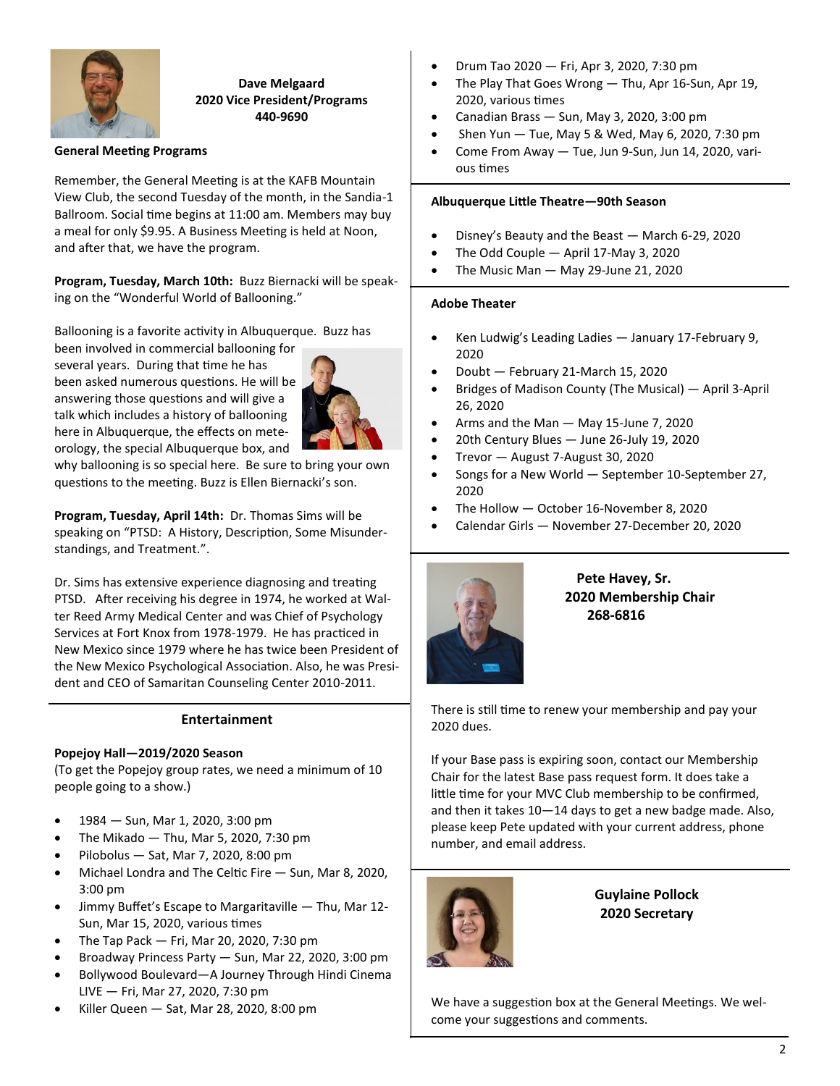

# **Dave Melgaard 2020 Vice President/Programs 440-9690**

#### **General Meeting Programs**

Remember, the General Meeting is at the KAFB Mountain View Club, the second Tuesday of the month, in the Sandia-1 Ballroom. Social time begins at 11:00 am. Members may buy a meal for only \$9.95. A Business Meeting is held at Noon, and after that, we have the program.

**Program, Tuesday, March 10th:** Buzz Biernacki will be speaking on the "Wonderful World of Ballooning."

Ballooning is a favorite activity in Albuquerque. Buzz has

been involved in commercial ballooning for several years. During that time he has been asked numerous questions. He will be answering those questions and will give a talk which includes a history of ballooning here in Albuquerque, the effects on meteorology, the special Albuquerque box, and



why ballooning is so special here. Be sure to bring your own questions to the meeting. Buzz is Ellen Biernacki's son.

**Program, Tuesday, April 14th:** Dr. Thomas Sims will be speaking on "PTSD: A History, Description, Some Misunderstandings, and Treatment.".

Dr. Sims has extensive experience diagnosing and treating PTSD. After receiving his degree in 1974, he worked at Walter Reed Army Medical Center and was Chief of Psychology Services at Fort Knox from 1978-1979. He has practiced in New Mexico since 1979 where he has twice been President of the New Mexico Psychological Association. Also, he was President and CEO of Samaritan Counseling Center 2010-2011.

#### **Entertainment**

## **Popejoy Hall—2019/2020 Season**

(To get the Popejoy group rates, we need a minimum of 10 people going to a show.)

- 1984 Sun, Mar 1, 2020, 3:00 pm
- The Mikado Thu, Mar 5, 2020, 7:30 pm
- Pilobolus Sat, Mar 7, 2020, 8:00 pm
- Michael Londra and The Celtic Fire Sun, Mar 8, 2020, 3:00 pm
- Jimmy Buffet's Escape to Margaritaville Thu, Mar 12- Sun, Mar 15, 2020, various times
- The Tap Pack Fri, Mar 20, 2020, 7:30 pm
- Broadway Princess Party Sun, Mar 22, 2020, 3:00 pm
- Bollywood Boulevard—A Journey Through Hindi Cinema LIVE — Fri, Mar 27, 2020, 7:30 pm
- Killer Queen Sat, Mar 28, 2020, 8:00 pm
- Drum Tao 2020 Fri, Apr 3, 2020, 7:30 pm
- The Play That Goes Wrong Thu, Apr 16-Sun, Apr 19, 2020, various times
- Canadian Brass Sun, May 3, 2020, 3:00 pm
- Shen Yun  $-$  Tue, May 5 & Wed, May 6, 2020, 7:30 pm
- Come From Away Tue, Jun 9-Sun, Jun 14, 2020, various times

#### **Albuquerque Little Theatre—90th Season**

- Disney's Beauty and the Beast March 6-29, 2020
- The Odd Couple April 17-May 3, 2020
- The Music Man May 29-June 21, 2020

#### **Adobe Theater**

1

- Ken Ludwig's Leading Ladies January 17-February 9, 2020
- Doubt February 21-March 15, 2020
- Bridges of Madison County (The Musical) April 3-April 26, 2020
- Arms and the Man May 15-June 7, 2020
- 20th Century Blues June 26-July 19, 2020
- Trevor August 7-August 30, 2020
- Songs for a New World September 10-September 27, 2020
- The Hollow October 16-November 8, 2020
- Calendar Girls November 27-December 20, 2020



# **Pete Havey, Sr. 2020 Membership Chair 268-6816**

There is still time to renew your membership and pay your 2020 dues.

If your Base pass is expiring soon, contact our Membership Chair for the latest Base pass request form. It does take a little time for your MVC Club membership to be confirmed, and then it takes 10—14 days to get a new badge made. Also, please keep Pete updated with your current address, phone number, and email address.



**Guylaine Pollock 2020 Secretary**

We have a suggestion box at the General Meetings. We welcome your suggestions and comments.